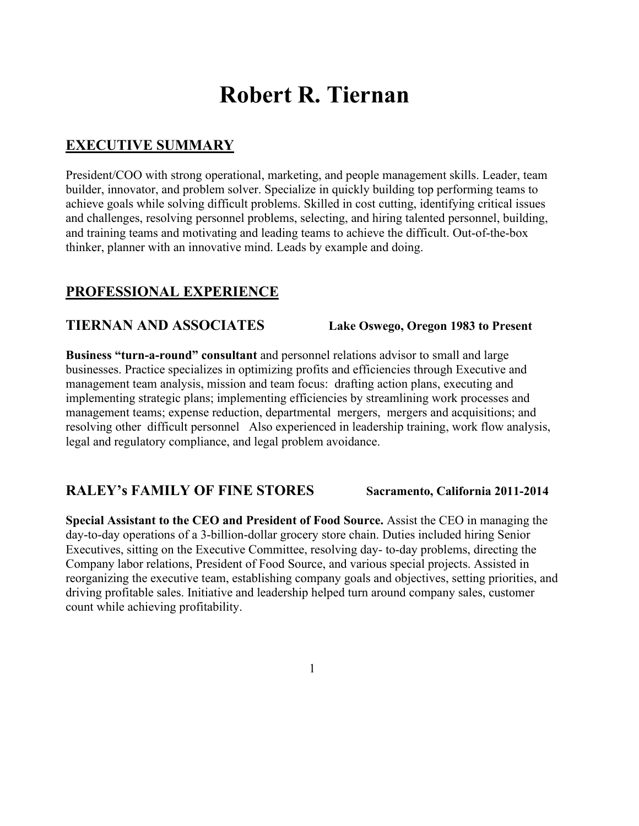# **Robert R. Tiernan**

# **EXECUTIVE SUMMARY**

President/COO with strong operational, marketing, and people management skills. Leader, team builder, innovator, and problem solver. Specialize in quickly building top performing teams to achieve goals while solving difficult problems. Skilled in cost cutting, identifying critical issues and challenges, resolving personnel problems, selecting, and hiring talented personnel, building, and training teams and motivating and leading teams to achieve the difficult. Out-of-the-box thinker, planner with an innovative mind. Leads by example and doing.

## **PROFESSIONAL EXPERIENCE**

#### **TIERNAN AND ASSOCIATES Lake Oswego, Oregon 1983 to Present**

**Business "turn-a-round" consultant** and personnel relations advisor to small and large businesses. Practice specializes in optimizing profits and efficiencies through Executive and management team analysis, mission and team focus: drafting action plans, executing and implementing strategic plans; implementing efficiencies by streamlining work processes and management teams; expense reduction, departmental mergers, mergers and acquisitions; and resolving other difficult personnel Also experienced in leadership training, work flow analysis, legal and regulatory compliance, and legal problem avoidance.

#### **RALEY's FAMILY OF FINE STORES Sacramento, California 2011-2014**

**Special Assistant to the CEO and President of Food Source.** Assist the CEO in managing the day-to-day operations of a 3-billion-dollar grocery store chain. Duties included hiring Senior Executives, sitting on the Executive Committee, resolving day- to-day problems, directing the Company labor relations, President of Food Source, and various special projects. Assisted in reorganizing the executive team, establishing company goals and objectives, setting priorities, and driving profitable sales. Initiative and leadership helped turn around company sales, customer count while achieving profitability.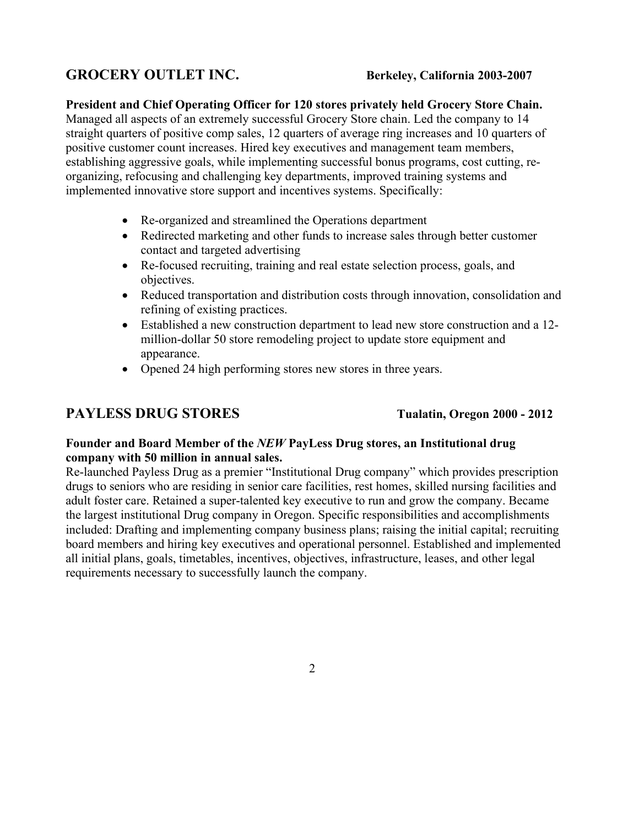# **GROCERY OUTLET INC. Berkeley, California 2003-2007**

**President and Chief Operating Officer for 120 stores privately held Grocery Store Chain.** Managed all aspects of an extremely successful Grocery Store chain. Led the company to 14 straight quarters of positive comp sales, 12 quarters of average ring increases and 10 quarters of positive customer count increases. Hired key executives and management team members, establishing aggressive goals, while implementing successful bonus programs, cost cutting, reorganizing, refocusing and challenging key departments, improved training systems and implemented innovative store support and incentives systems. Specifically:

- Re-organized and streamlined the Operations department
- Redirected marketing and other funds to increase sales through better customer contact and targeted advertising
- Re-focused recruiting, training and real estate selection process, goals, and objectives.
- Reduced transportation and distribution costs through innovation, consolidation and refining of existing practices.
- Established a new construction department to lead new store construction and a 12 million-dollar 50 store remodeling project to update store equipment and appearance.
- Opened 24 high performing stores new stores in three years.

# PAYLESS DRUG STORES TUAL Tualatin, Oregon 2000 - 2012

#### **Founder and Board Member of the** *NEW* **PayLess Drug stores, an Institutional drug company with 50 million in annual sales.**

Re-launched Payless Drug as a premier "Institutional Drug company" which provides prescription drugs to seniors who are residing in senior care facilities, rest homes, skilled nursing facilities and adult foster care. Retained a super-talented key executive to run and grow the company. Became the largest institutional Drug company in Oregon. Specific responsibilities and accomplishments included: Drafting and implementing company business plans; raising the initial capital; recruiting board members and hiring key executives and operational personnel. Established and implemented all initial plans, goals, timetables, incentives, objectives, infrastructure, leases, and other legal requirements necessary to successfully launch the company.